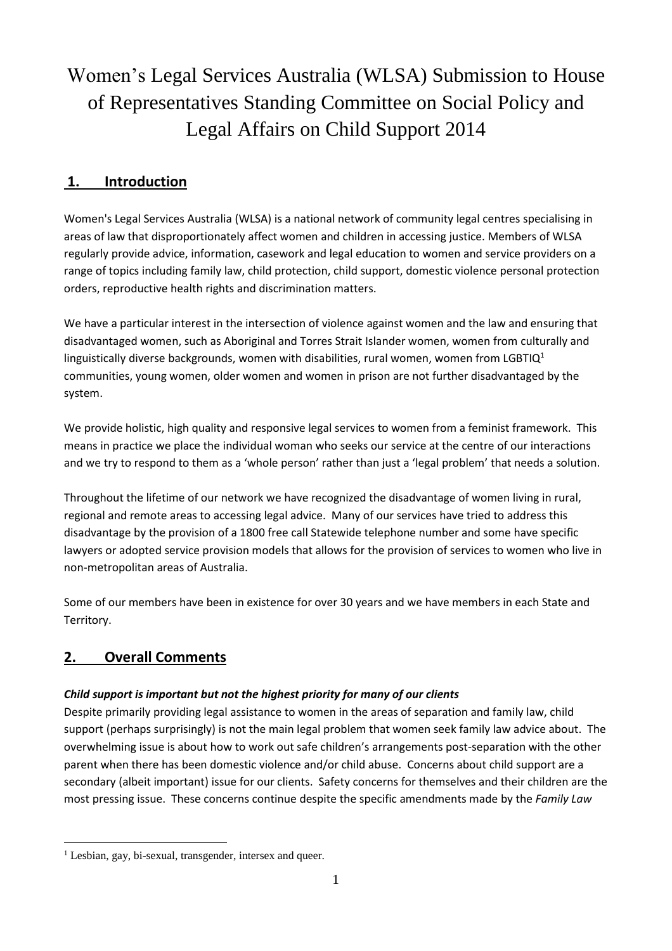# Women's Legal Services Australia (WLSA) Submission to House of Representatives Standing Committee on Social Policy and Legal Affairs on Child Support 2014

# **1. Introduction**

Women's Legal Services Australia (WLSA) is a national network of community legal centres specialising in areas of law that disproportionately affect women and children in accessing justice. Members of WLSA regularly provide advice, information, casework and legal education to women and service providers on a range of topics including family law, child protection, child support, domestic violence personal protection orders, reproductive health rights and discrimination matters.

We have a particular interest in the intersection of violence against women and the law and ensuring that disadvantaged women, such as Aboriginal and Torres Strait Islander women, women from culturally and linguistically diverse backgrounds, women with disabilities, rural women, women from LGBTIQ<sup>1</sup> communities, young women, older women and women in prison are not further disadvantaged by the system.

We provide holistic, high quality and responsive legal services to women from a feminist framework. This means in practice we place the individual woman who seeks our service at the centre of our interactions and we try to respond to them as a 'whole person' rather than just a 'legal problem' that needs a solution.

Throughout the lifetime of our network we have recognized the disadvantage of women living in rural, regional and remote areas to accessing legal advice. Many of our services have tried to address this disadvantage by the provision of a 1800 free call Statewide telephone number and some have specific lawyers or adopted service provision models that allows for the provision of services to women who live in non-metropolitan areas of Australia.

Some of our members have been in existence for over 30 years and we have members in each State and Territory.

# **2. Overall Comments**

## *Child support is important but not the highest priority for many of our clients*

Despite primarily providing legal assistance to women in the areas of separation and family law, child support (perhaps surprisingly) is not the main legal problem that women seek family law advice about. The overwhelming issue is about how to work out safe children's arrangements post-separation with the other parent when there has been domestic violence and/or child abuse. Concerns about child support are a secondary (albeit important) issue for our clients. Safety concerns for themselves and their children are the most pressing issue. These concerns continue despite the specific amendments made by the *Family Law*

 $\overline{a}$ <sup>1</sup> Lesbian, gay, bi-sexual, transgender, intersex and queer.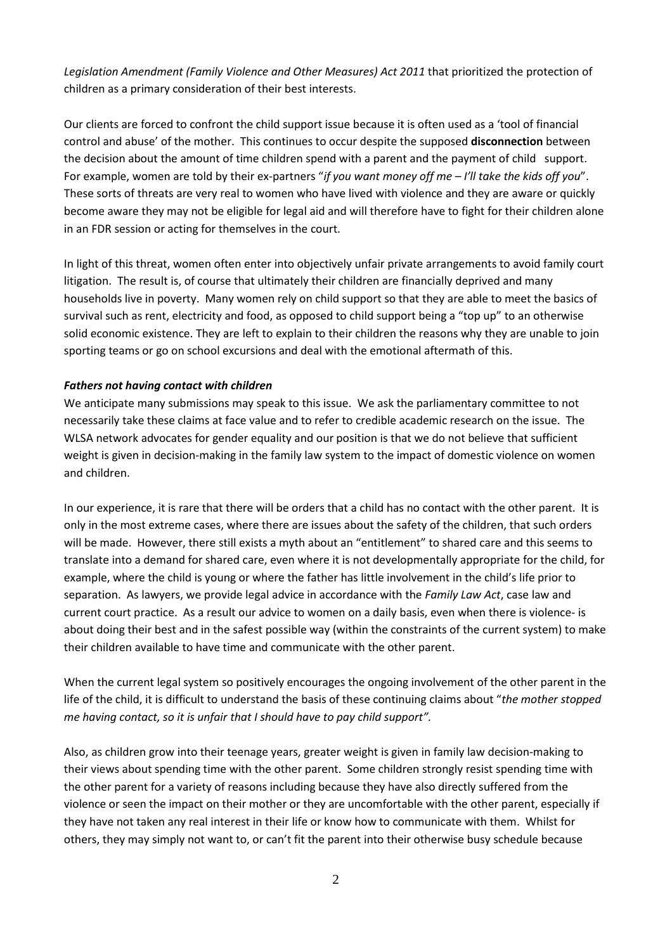*Legislation Amendment (Family Violence and Other Measures) Act 2011* that prioritized the protection of children as a primary consideration of their best interests.

Our clients are forced to confront the child support issue because it is often used as a 'tool of financial control and abuse' of the mother. This continues to occur despite the supposed **disconnection** between the decision about the amount of time children spend with a parent and the payment of child support. For example, women are told by their ex-partners "*if you want money off me – I'll take the kids off you*". These sorts of threats are very real to women who have lived with violence and they are aware or quickly become aware they may not be eligible for legal aid and will therefore have to fight for their children alone in an FDR session or acting for themselves in the court.

In light of this threat, women often enter into objectively unfair private arrangements to avoid family court litigation. The result is, of course that ultimately their children are financially deprived and many households live in poverty. Many women rely on child support so that they are able to meet the basics of survival such as rent, electricity and food, as opposed to child support being a "top up" to an otherwise solid economic existence. They are left to explain to their children the reasons why they are unable to join sporting teams or go on school excursions and deal with the emotional aftermath of this.

#### *Fathers not having contact with children*

We anticipate many submissions may speak to this issue. We ask the parliamentary committee to not necessarily take these claims at face value and to refer to credible academic research on the issue. The WLSA network advocates for gender equality and our position is that we do not believe that sufficient weight is given in decision-making in the family law system to the impact of domestic violence on women and children.

In our experience, it is rare that there will be orders that a child has no contact with the other parent. It is only in the most extreme cases, where there are issues about the safety of the children, that such orders will be made. However, there still exists a myth about an "entitlement" to shared care and this seems to translate into a demand for shared care, even where it is not developmentally appropriate for the child, for example, where the child is young or where the father has little involvement in the child's life prior to separation. As lawyers, we provide legal advice in accordance with the *Family Law Act*, case law and current court practice. As a result our advice to women on a daily basis, even when there is violence- is about doing their best and in the safest possible way (within the constraints of the current system) to make their children available to have time and communicate with the other parent.

When the current legal system so positively encourages the ongoing involvement of the other parent in the life of the child, it is difficult to understand the basis of these continuing claims about "*the mother stopped me having contact, so it is unfair that I should have to pay child support".*

Also, as children grow into their teenage years, greater weight is given in family law decision-making to their views about spending time with the other parent. Some children strongly resist spending time with the other parent for a variety of reasons including because they have also directly suffered from the violence or seen the impact on their mother or they are uncomfortable with the other parent, especially if they have not taken any real interest in their life or know how to communicate with them. Whilst for others, they may simply not want to, or can't fit the parent into their otherwise busy schedule because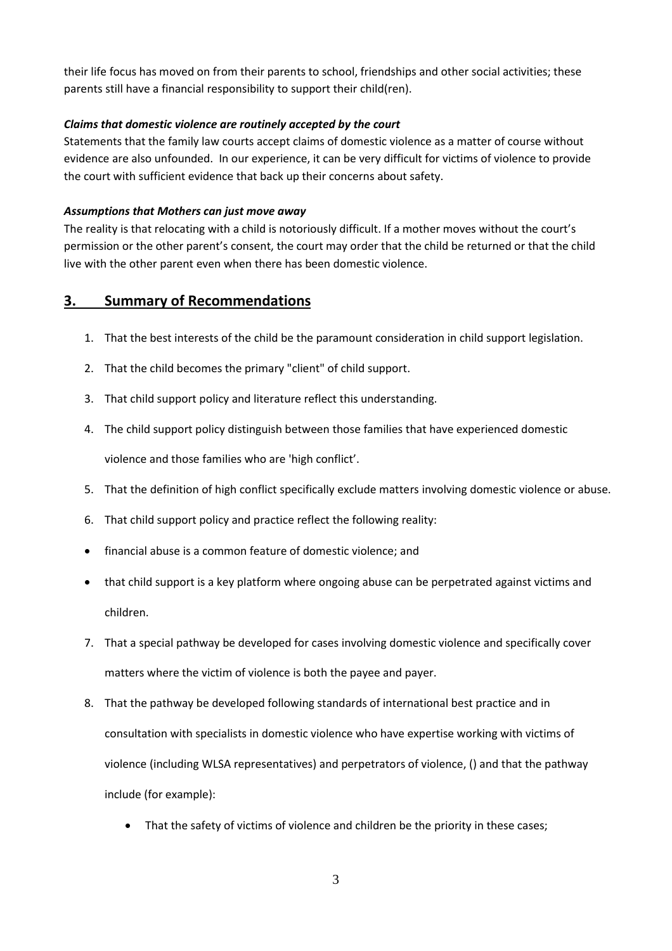their life focus has moved on from their parents to school, friendships and other social activities; these parents still have a financial responsibility to support their child(ren).

#### *Claims that domestic violence are routinely accepted by the court*

Statements that the family law courts accept claims of domestic violence as a matter of course without evidence are also unfounded. In our experience, it can be very difficult for victims of violence to provide the court with sufficient evidence that back up their concerns about safety.

#### *Assumptions that Mothers can just move away*

The reality is that relocating with a child is notoriously difficult. If a mother moves without the court's permission or the other parent's consent, the court may order that the child be returned or that the child live with the other parent even when there has been domestic violence.

# **3. Summary of Recommendations**

- 1. That the best interests of the child be the paramount consideration in child support legislation.
- 2. That the child becomes the primary "client" of child support.
- 3. That child support policy and literature reflect this understanding.
- 4. The child support policy distinguish between those families that have experienced domestic

violence and those families who are 'high conflict'.

- 5. That the definition of high conflict specifically exclude matters involving domestic violence or abuse.
- 6. That child support policy and practice reflect the following reality:
- financial abuse is a common feature of domestic violence; and
- that child support is a key platform where ongoing abuse can be perpetrated against victims and children.
- 7. That a special pathway be developed for cases involving domestic violence and specifically cover matters where the victim of violence is both the payee and payer.
- 8. That the pathway be developed following standards of international best practice and in consultation with specialists in domestic violence who have expertise working with victims of violence (including WLSA representatives) and perpetrators of violence, () and that the pathway include (for example):
	- That the safety of victims of violence and children be the priority in these cases;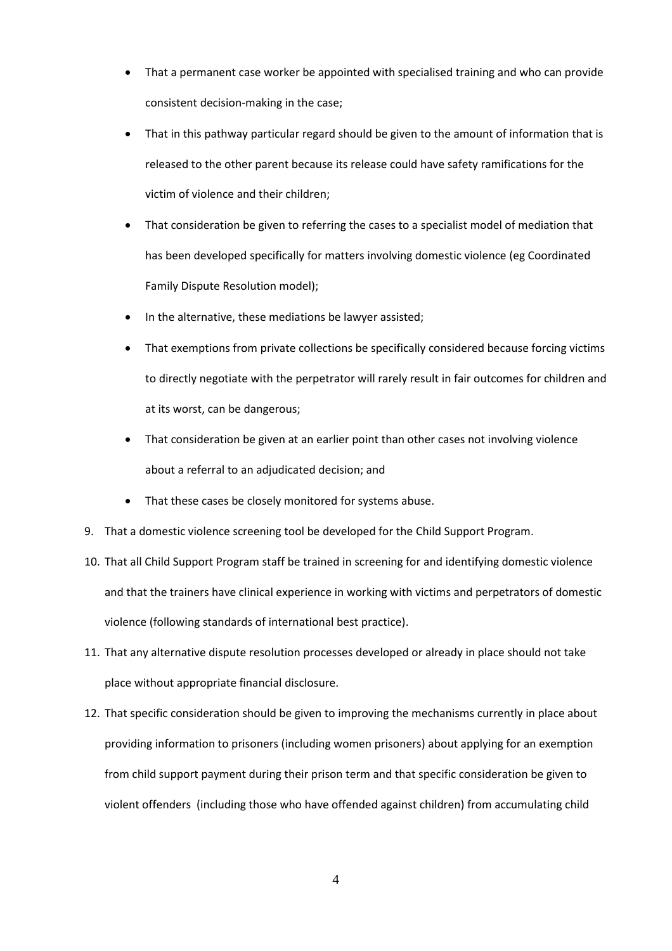- That a permanent case worker be appointed with specialised training and who can provide consistent decision-making in the case;
- That in this pathway particular regard should be given to the amount of information that is released to the other parent because its release could have safety ramifications for the victim of violence and their children;
- That consideration be given to referring the cases to a specialist model of mediation that has been developed specifically for matters involving domestic violence (eg Coordinated Family Dispute Resolution model);
- In the alternative, these mediations be lawyer assisted;
- That exemptions from private collections be specifically considered because forcing victims to directly negotiate with the perpetrator will rarely result in fair outcomes for children and at its worst, can be dangerous;
- That consideration be given at an earlier point than other cases not involving violence about a referral to an adjudicated decision; and
- That these cases be closely monitored for systems abuse.
- 9. That a domestic violence screening tool be developed for the Child Support Program.
- 10. That all Child Support Program staff be trained in screening for and identifying domestic violence and that the trainers have clinical experience in working with victims and perpetrators of domestic violence (following standards of international best practice).
- 11. That any alternative dispute resolution processes developed or already in place should not take place without appropriate financial disclosure.
- 12. That specific consideration should be given to improving the mechanisms currently in place about providing information to prisoners (including women prisoners) about applying for an exemption from child support payment during their prison term and that specific consideration be given to violent offenders (including those who have offended against children) from accumulating child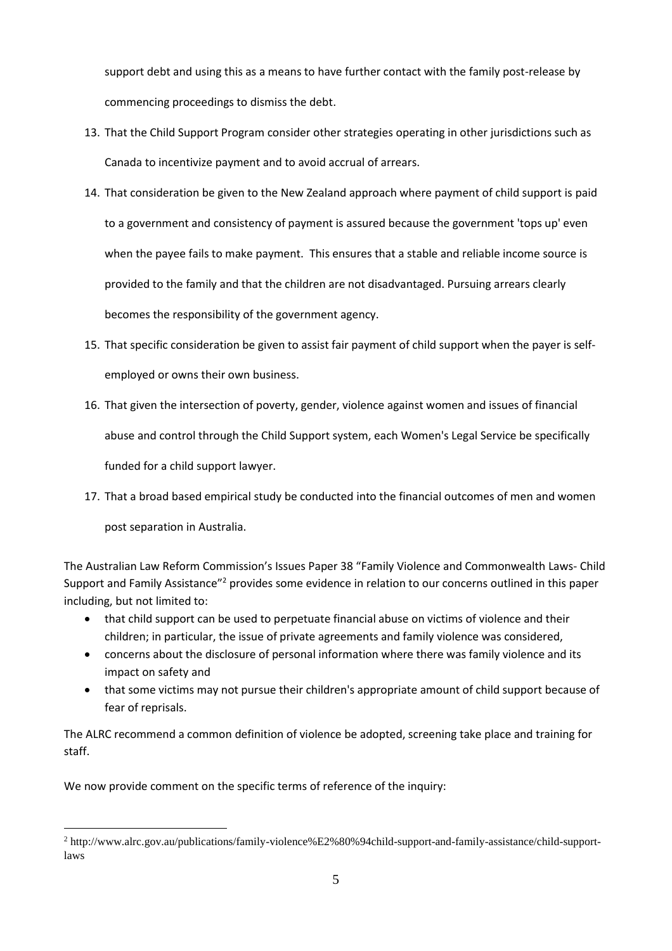support debt and using this as a means to have further contact with the family post-release by commencing proceedings to dismiss the debt.

- 13. That the Child Support Program consider other strategies operating in other jurisdictions such as Canada to incentivize payment and to avoid accrual of arrears.
- 14. That consideration be given to the New Zealand approach where payment of child support is paid to a government and consistency of payment is assured because the government 'tops up' even when the payee fails to make payment. This ensures that a stable and reliable income source is provided to the family and that the children are not disadvantaged. Pursuing arrears clearly becomes the responsibility of the government agency.
- 15. That specific consideration be given to assist fair payment of child support when the payer is selfemployed or owns their own business.
- 16. That given the intersection of poverty, gender, violence against women and issues of financial abuse and control through the Child Support system, each Women's Legal Service be specifically funded for a child support lawyer.
- 17. That a broad based empirical study be conducted into the financial outcomes of men and women

post separation in Australia.

 $\overline{a}$ 

The Australian Law Reform Commission's Issues Paper 38 "Family Violence and Commonwealth Laws- Child Support and Family Assistance"<sup>2</sup> provides some evidence in relation to our concerns outlined in this paper including, but not limited to:

- that child support can be used to perpetuate financial abuse on victims of violence and their children; in particular, the issue of private agreements and family violence was considered,
- concerns about the disclosure of personal information where there was family violence and its impact on safety and
- that some victims may not pursue their children's appropriate amount of child support because of fear of reprisals.

The ALRC recommend a common definition of violence be adopted, screening take place and training for staff.

We now provide comment on the specific terms of reference of the inquiry:

<sup>2</sup> http://www.alrc.gov.au/publications/family-violence%E2%80%94child-support-and-family-assistance/child-supportlaws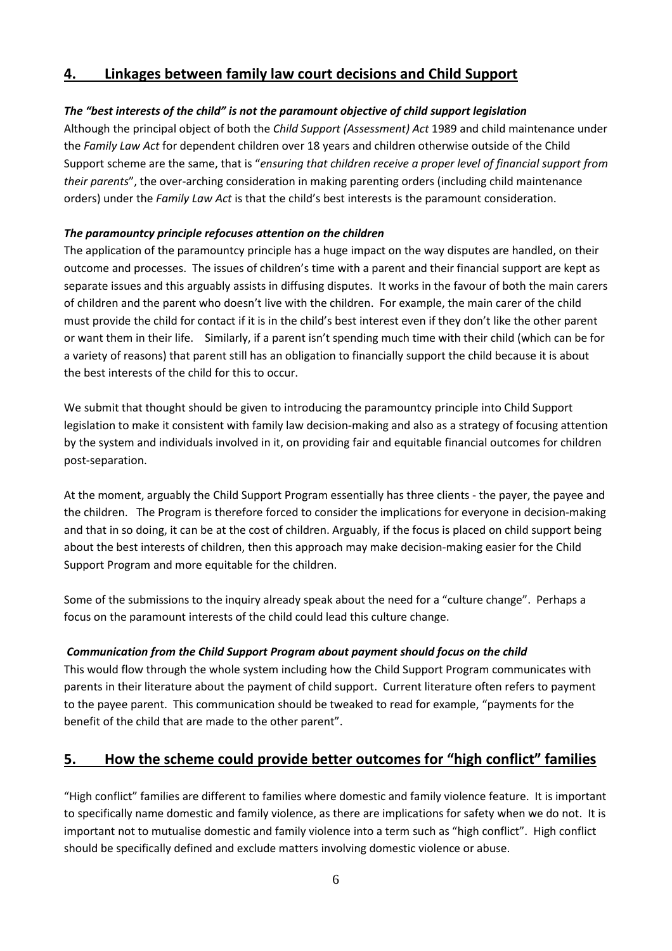# **4. Linkages between family law court decisions and Child Support**

## *The "best interests of the child" is not the paramount objective of child support legislation*

Although the principal object of both the *Child Support (Assessment) Act* 1989 and child maintenance under the *Family Law Act* for dependent children over 18 years and children otherwise outside of the Child Support scheme are the same, that is "*ensuring that children receive a proper level of financial support from their parents*", the over-arching consideration in making parenting orders (including child maintenance orders) under the *Family Law Act* is that the child's best interests is the paramount consideration.

#### *The paramountcy principle refocuses attention on the children*

The application of the paramountcy principle has a huge impact on the way disputes are handled, on their outcome and processes. The issues of children's time with a parent and their financial support are kept as separate issues and this arguably assists in diffusing disputes. It works in the favour of both the main carers of children and the parent who doesn't live with the children. For example, the main carer of the child must provide the child for contact if it is in the child's best interest even if they don't like the other parent or want them in their life. Similarly, if a parent isn't spending much time with their child (which can be for a variety of reasons) that parent still has an obligation to financially support the child because it is about the best interests of the child for this to occur.

We submit that thought should be given to introducing the paramountcy principle into Child Support legislation to make it consistent with family law decision-making and also as a strategy of focusing attention by the system and individuals involved in it, on providing fair and equitable financial outcomes for children post-separation.

At the moment, arguably the Child Support Program essentially has three clients - the payer, the payee and the children. The Program is therefore forced to consider the implications for everyone in decision-making and that in so doing, it can be at the cost of children. Arguably, if the focus is placed on child support being about the best interests of children, then this approach may make decision-making easier for the Child Support Program and more equitable for the children.

Some of the submissions to the inquiry already speak about the need for a "culture change". Perhaps a focus on the paramount interests of the child could lead this culture change.

## *Communication from the Child Support Program about payment should focus on the child*

This would flow through the whole system including how the Child Support Program communicates with parents in their literature about the payment of child support. Current literature often refers to payment to the payee parent. This communication should be tweaked to read for example, "payments for the benefit of the child that are made to the other parent".

# **5. How the scheme could provide better outcomes for "high conflict" families**

"High conflict" families are different to families where domestic and family violence feature. It is important to specifically name domestic and family violence, as there are implications for safety when we do not. It is important not to mutualise domestic and family violence into a term such as "high conflict". High conflict should be specifically defined and exclude matters involving domestic violence or abuse.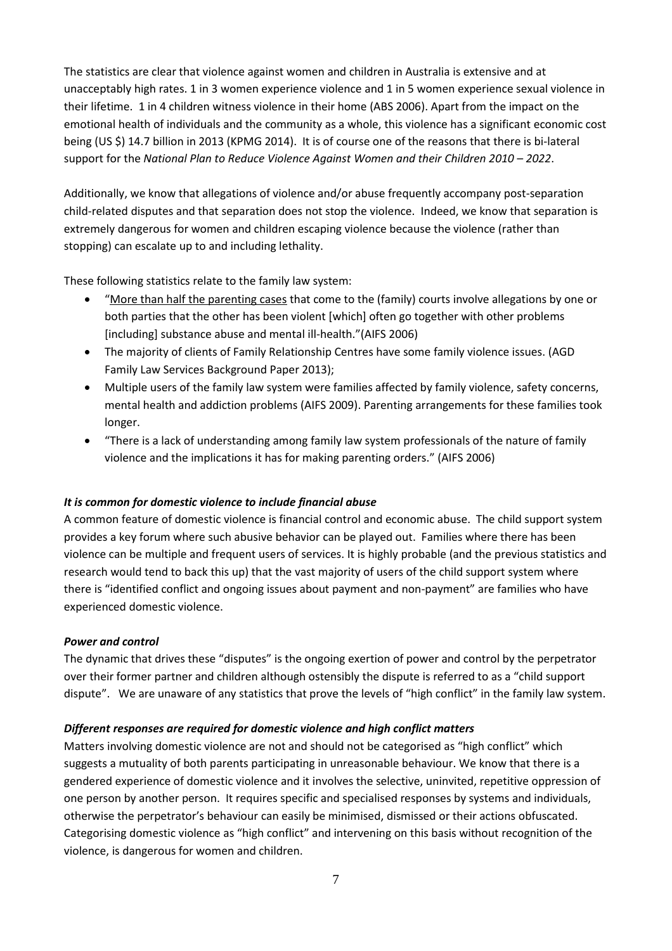The statistics are clear that violence against women and children in Australia is extensive and at unacceptably high rates. 1 in 3 women experience violence and 1 in 5 women experience sexual violence in their lifetime. 1 in 4 children witness violence in their home (ABS 2006). Apart from the impact on the emotional health of individuals and the community as a whole, this violence has a significant economic cost being (US \$) 14.7 billion in 2013 (KPMG 2014). It is of course one of the reasons that there is bi-lateral support for the *National Plan to Reduce Violence Against Women and their Children 2010 – 2022*.

Additionally, we know that allegations of violence and/or abuse frequently accompany post-separation child-related disputes and that separation does not stop the violence. Indeed, we know that separation is extremely dangerous for women and children escaping violence because the violence (rather than stopping) can escalate up to and including lethality.

These following statistics relate to the family law system:

- "More than half the parenting cases that come to the (family) courts involve allegations by one or both parties that the other has been violent [which] often go together with other problems [including] substance abuse and mental ill-health."(AIFS 2006)
- The majority of clients of Family Relationship Centres have some family violence issues. (AGD Family Law Services Background Paper 2013);
- Multiple users of the family law system were families affected by family violence, safety concerns, mental health and addiction problems (AIFS 2009). Parenting arrangements for these families took longer.
- "There is a lack of understanding among family law system professionals of the nature of family violence and the implications it has for making parenting orders." (AIFS 2006)

#### *It is common for domestic violence to include financial abuse*

A common feature of domestic violence is financial control and economic abuse. The child support system provides a key forum where such abusive behavior can be played out. Families where there has been violence can be multiple and frequent users of services. It is highly probable (and the previous statistics and research would tend to back this up) that the vast majority of users of the child support system where there is "identified conflict and ongoing issues about payment and non-payment" are families who have experienced domestic violence.

#### *Power and control*

The dynamic that drives these "disputes" is the ongoing exertion of power and control by the perpetrator over their former partner and children although ostensibly the dispute is referred to as a "child support dispute". We are unaware of any statistics that prove the levels of "high conflict" in the family law system.

#### *Different responses are required for domestic violence and high conflict matters*

Matters involving domestic violence are not and should not be categorised as "high conflict" which suggests a mutuality of both parents participating in unreasonable behaviour. We know that there is a gendered experience of domestic violence and it involves the selective, uninvited, repetitive oppression of one person by another person. It requires specific and specialised responses by systems and individuals, otherwise the perpetrator's behaviour can easily be minimised, dismissed or their actions obfuscated. Categorising domestic violence as "high conflict" and intervening on this basis without recognition of the violence, is dangerous for women and children.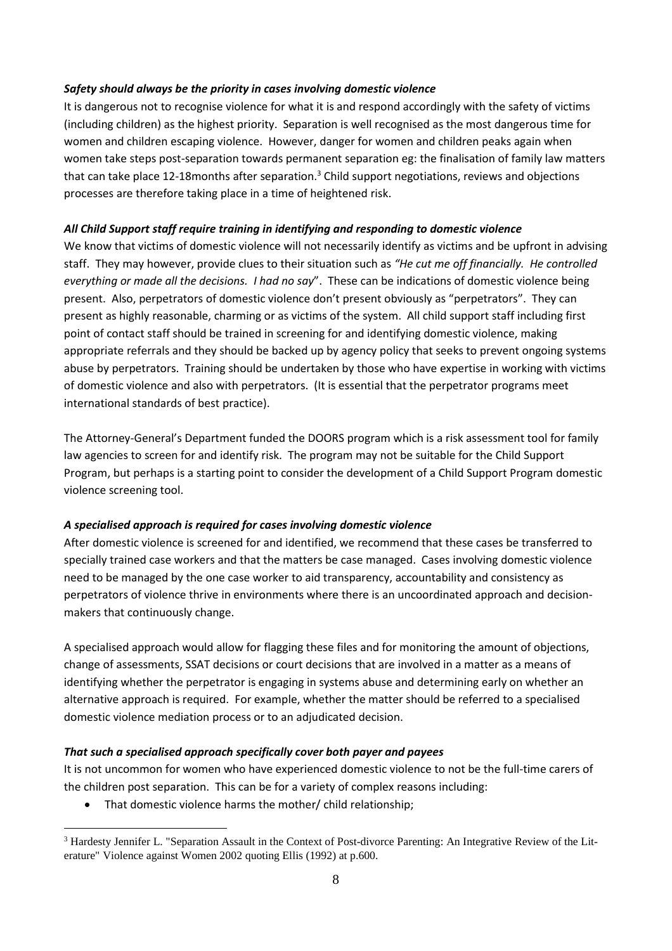#### *Safety should always be the priority in cases involving domestic violence*

It is dangerous not to recognise violence for what it is and respond accordingly with the safety of victims (including children) as the highest priority. Separation is well recognised as the most dangerous time for women and children escaping violence. However, danger for women and children peaks again when women take steps post-separation towards permanent separation eg: the finalisation of family law matters that can take place 12-18 months after separation.<sup>3</sup> Child support negotiations, reviews and objections processes are therefore taking place in a time of heightened risk.

#### *All Child Support staff require training in identifying and responding to domestic violence*

We know that victims of domestic violence will not necessarily identify as victims and be upfront in advising staff. They may however, provide clues to their situation such as *"He cut me off financially. He controlled everything or made all the decisions. I had no say*". These can be indications of domestic violence being present. Also, perpetrators of domestic violence don't present obviously as "perpetrators". They can present as highly reasonable, charming or as victims of the system. All child support staff including first point of contact staff should be trained in screening for and identifying domestic violence, making appropriate referrals and they should be backed up by agency policy that seeks to prevent ongoing systems abuse by perpetrators. Training should be undertaken by those who have expertise in working with victims of domestic violence and also with perpetrators. (It is essential that the perpetrator programs meet international standards of best practice).

The Attorney-General's Department funded the DOORS program which is a risk assessment tool for family law agencies to screen for and identify risk. The program may not be suitable for the Child Support Program, but perhaps is a starting point to consider the development of a Child Support Program domestic violence screening tool.

#### *A specialised approach is required for cases involving domestic violence*

After domestic violence is screened for and identified, we recommend that these cases be transferred to specially trained case workers and that the matters be case managed. Cases involving domestic violence need to be managed by the one case worker to aid transparency, accountability and consistency as perpetrators of violence thrive in environments where there is an uncoordinated approach and decisionmakers that continuously change.

A specialised approach would allow for flagging these files and for monitoring the amount of objections, change of assessments, SSAT decisions or court decisions that are involved in a matter as a means of identifying whether the perpetrator is engaging in systems abuse and determining early on whether an alternative approach is required. For example, whether the matter should be referred to a specialised domestic violence mediation process or to an adjudicated decision.

#### *That such a specialised approach specifically cover both payer and payees*

It is not uncommon for women who have experienced domestic violence to not be the full-time carers of the children post separation. This can be for a variety of complex reasons including:

• That domestic violence harms the mother/ child relationship;

 $\overline{a}$ 

<sup>&</sup>lt;sup>3</sup> Hardesty Jennifer L. "Separation Assault in the Context of Post-divorce Parenting: An Integrative Review of the Literature" Violence against Women 2002 quoting Ellis (1992) at p.600.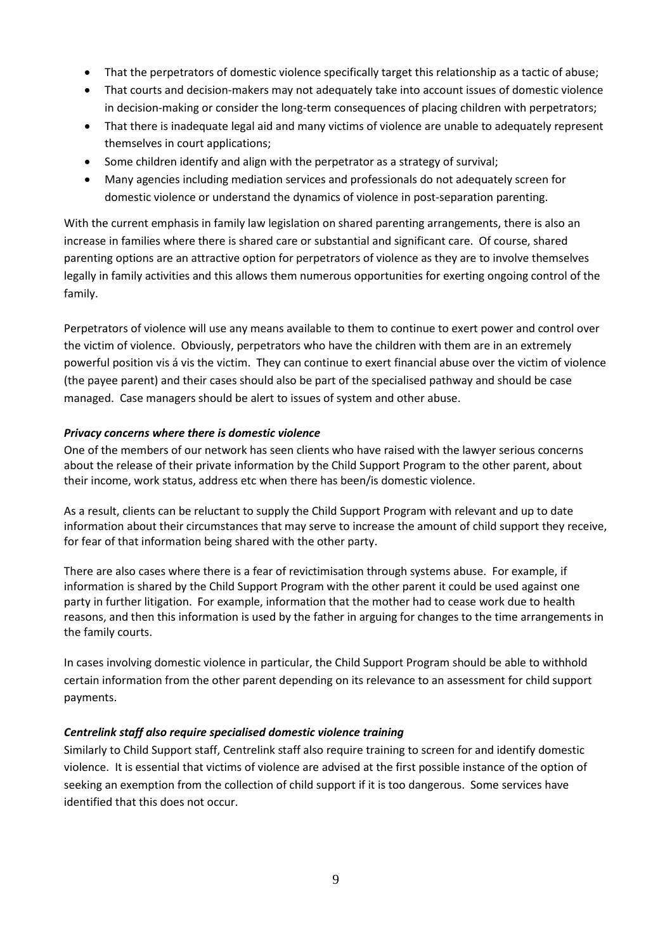- That the perpetrators of domestic violence specifically target this relationship as a tactic of abuse;
- That courts and decision-makers may not adequately take into account issues of domestic violence in decision-making or consider the long-term consequences of placing children with perpetrators;
- That there is inadequate legal aid and many victims of violence are unable to adequately represent themselves in court applications;
- Some children identify and align with the perpetrator as a strategy of survival;
- Many agencies including mediation services and professionals do not adequately screen for domestic violence or understand the dynamics of violence in post-separation parenting.

With the current emphasis in family law legislation on shared parenting arrangements, there is also an increase in families where there is shared care or substantial and significant care. Of course, shared parenting options are an attractive option for perpetrators of violence as they are to involve themselves legally in family activities and this allows them numerous opportunities for exerting ongoing control of the family.

Perpetrators of violence will use any means available to them to continue to exert power and control over the victim of violence. Obviously, perpetrators who have the children with them are in an extremely powerful position vis á vis the victim. They can continue to exert financial abuse over the victim of violence (the payee parent) and their cases should also be part of the specialised pathway and should be case managed. Case managers should be alert to issues of system and other abuse.

#### *Privacy concerns where there is domestic violence*

One of the members of our network has seen clients who have raised with the lawyer serious concerns about the release of their private information by the Child Support Program to the other parent, about their income, work status, address etc when there has been/is domestic violence.

As a result, clients can be reluctant to supply the Child Support Program with relevant and up to date information about their circumstances that may serve to increase the amount of child support they receive, for fear of that information being shared with the other party.

There are also cases where there is a fear of revictimisation through systems abuse. For example, if information is shared by the Child Support Program with the other parent it could be used against one party in further litigation. For example, information that the mother had to cease work due to health reasons, and then this information is used by the father in arguing for changes to the time arrangements in the family courts.

In cases involving domestic violence in particular, the Child Support Program should be able to withhold certain information from the other parent depending on its relevance to an assessment for child support payments.

#### *Centrelink staff also require specialised domestic violence training*

Similarly to Child Support staff, Centrelink staff also require training to screen for and identify domestic violence. It is essential that victims of violence are advised at the first possible instance of the option of seeking an exemption from the collection of child support if it is too dangerous. Some services have identified that this does not occur.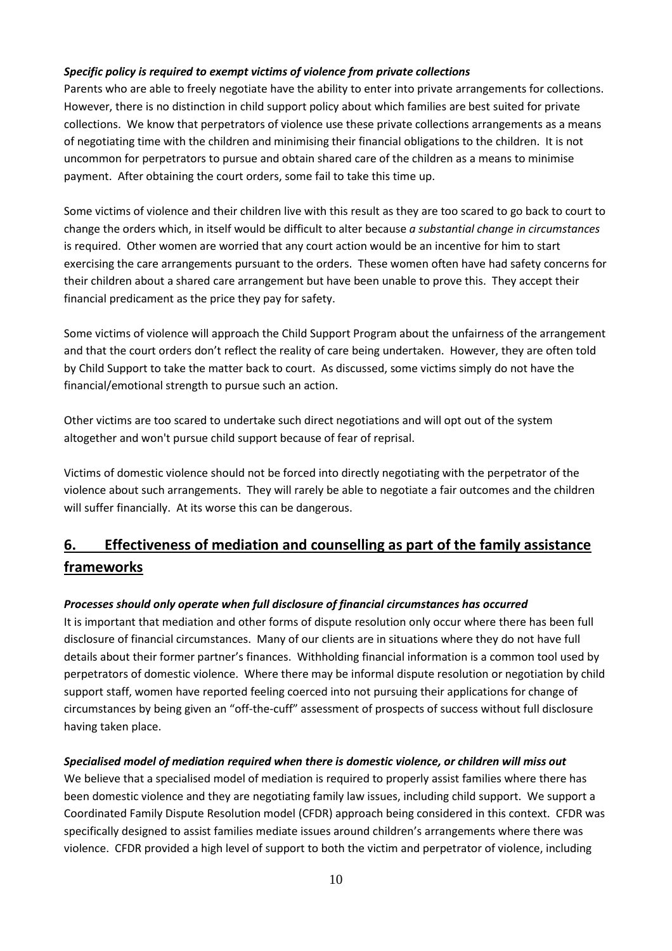## *Specific policy is required to exempt victims of violence from private collections*

Parents who are able to freely negotiate have the ability to enter into private arrangements for collections. However, there is no distinction in child support policy about which families are best suited for private collections. We know that perpetrators of violence use these private collections arrangements as a means of negotiating time with the children and minimising their financial obligations to the children. It is not uncommon for perpetrators to pursue and obtain shared care of the children as a means to minimise payment. After obtaining the court orders, some fail to take this time up.

Some victims of violence and their children live with this result as they are too scared to go back to court to change the orders which, in itself would be difficult to alter because *a substantial change in circumstances* is required. Other women are worried that any court action would be an incentive for him to start exercising the care arrangements pursuant to the orders. These women often have had safety concerns for their children about a shared care arrangement but have been unable to prove this. They accept their financial predicament as the price they pay for safety.

Some victims of violence will approach the Child Support Program about the unfairness of the arrangement and that the court orders don't reflect the reality of care being undertaken. However, they are often told by Child Support to take the matter back to court. As discussed, some victims simply do not have the financial/emotional strength to pursue such an action.

Other victims are too scared to undertake such direct negotiations and will opt out of the system altogether and won't pursue child support because of fear of reprisal.

Victims of domestic violence should not be forced into directly negotiating with the perpetrator of the violence about such arrangements. They will rarely be able to negotiate a fair outcomes and the children will suffer financially. At its worse this can be dangerous.

# **6. Effectiveness of mediation and counselling as part of the family assistance frameworks**

#### *Processes should only operate when full disclosure of financial circumstances has occurred*

It is important that mediation and other forms of dispute resolution only occur where there has been full disclosure of financial circumstances. Many of our clients are in situations where they do not have full details about their former partner's finances. Withholding financial information is a common tool used by perpetrators of domestic violence. Where there may be informal dispute resolution or negotiation by child support staff, women have reported feeling coerced into not pursuing their applications for change of circumstances by being given an "off-the-cuff" assessment of prospects of success without full disclosure having taken place.

#### *Specialised model of mediation required when there is domestic violence, or children will miss out*

We believe that a specialised model of mediation is required to properly assist families where there has been domestic violence and they are negotiating family law issues, including child support. We support a Coordinated Family Dispute Resolution model (CFDR) approach being considered in this context. CFDR was specifically designed to assist families mediate issues around children's arrangements where there was violence. CFDR provided a high level of support to both the victim and perpetrator of violence, including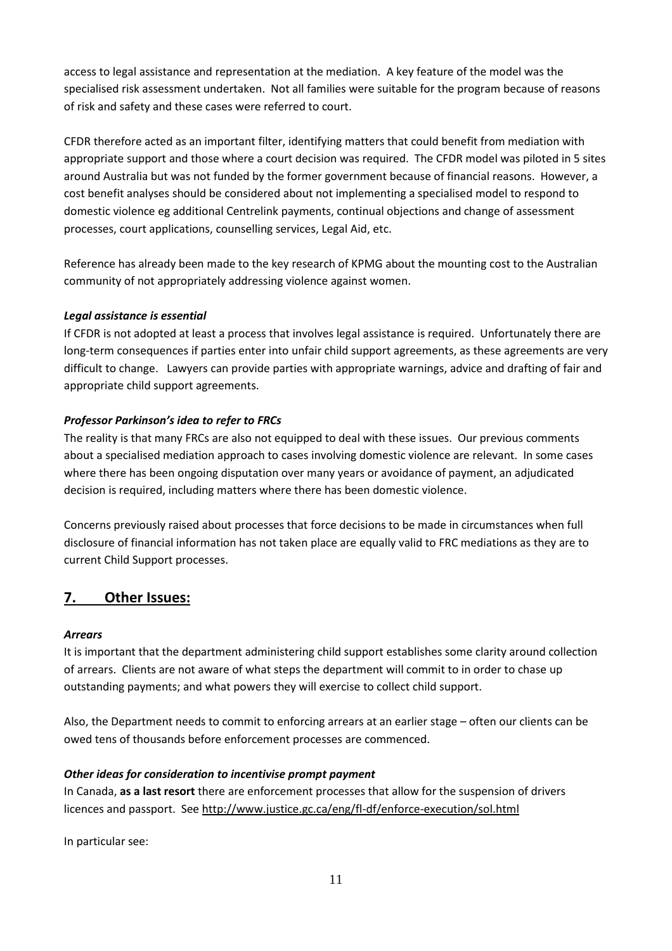access to legal assistance and representation at the mediation. A key feature of the model was the specialised risk assessment undertaken. Not all families were suitable for the program because of reasons of risk and safety and these cases were referred to court.

CFDR therefore acted as an important filter, identifying matters that could benefit from mediation with appropriate support and those where a court decision was required. The CFDR model was piloted in 5 sites around Australia but was not funded by the former government because of financial reasons. However, a cost benefit analyses should be considered about not implementing a specialised model to respond to domestic violence eg additional Centrelink payments, continual objections and change of assessment processes, court applications, counselling services, Legal Aid, etc.

Reference has already been made to the key research of KPMG about the mounting cost to the Australian community of not appropriately addressing violence against women.

## *Legal assistance is essential*

If CFDR is not adopted at least a process that involves legal assistance is required. Unfortunately there are long-term consequences if parties enter into unfair child support agreements, as these agreements are very difficult to change. Lawyers can provide parties with appropriate warnings, advice and drafting of fair and appropriate child support agreements.

## *Professor Parkinson's idea to refer to FRCs*

The reality is that many FRCs are also not equipped to deal with these issues. Our previous comments about a specialised mediation approach to cases involving domestic violence are relevant. In some cases where there has been ongoing disputation over many years or avoidance of payment, an adjudicated decision is required, including matters where there has been domestic violence.

Concerns previously raised about processes that force decisions to be made in circumstances when full disclosure of financial information has not taken place are equally valid to FRC mediations as they are to current Child Support processes.

# **7. Other Issues:**

#### *Arrears*

It is important that the department administering child support establishes some clarity around collection of arrears. Clients are not aware of what steps the department will commit to in order to chase up outstanding payments; and what powers they will exercise to collect child support.

Also, the Department needs to commit to enforcing arrears at an earlier stage – often our clients can be owed tens of thousands before enforcement processes are commenced.

#### *Other ideas for consideration to incentivise prompt payment*

In Canada, **as a last resort** there are enforcement processes that allow for the suspension of drivers licences and passport. See <http://www.justice.gc.ca/eng/fl-df/enforce-execution/sol.html>

In particular see: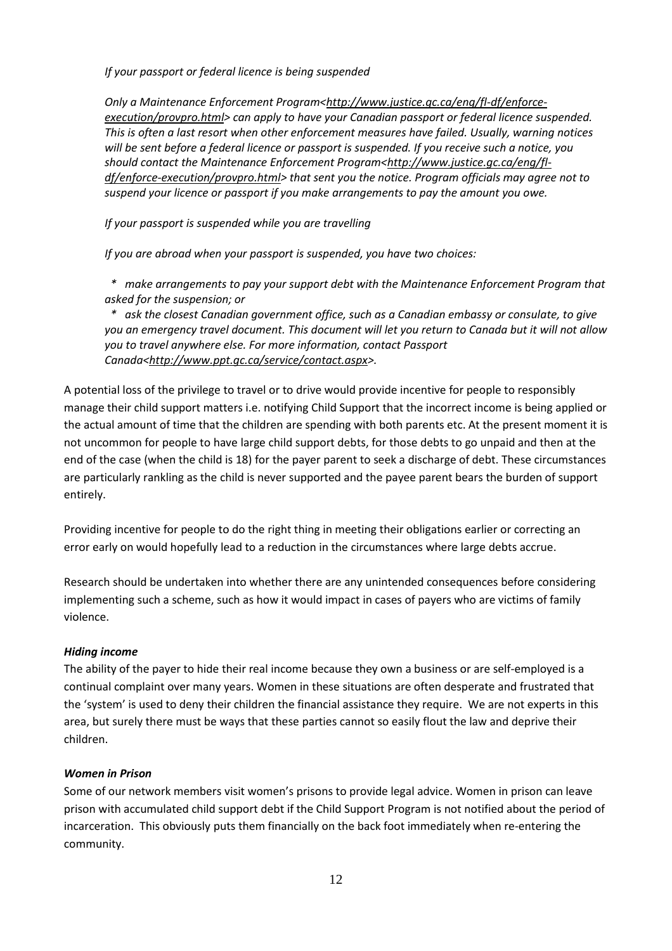*If your passport or federal licence is being suspended*

*Only a Maintenance Enforcement Program[<http://www.justice.gc.ca/eng/fl-df/enforce](http://www.justice.gc.ca/eng/fl-df/enforce-execution/provpro.html)[execution/provpro.html>](http://www.justice.gc.ca/eng/fl-df/enforce-execution/provpro.html) can apply to have your Canadian passport or federal licence suspended. This is often a last resort when other enforcement measures have failed. Usually, warning notices will be sent before a federal licence or passport is suspended. If you receive such a notice, you*  should contact the Maintenance Enforcement Program[<http://www.justice.gc.ca/eng/fl](http://www.justice.gc.ca/eng/fl-df/enforce-execution/provpro.html)*[df/enforce-execution/provpro.html>](http://www.justice.gc.ca/eng/fl-df/enforce-execution/provpro.html) that sent you the notice. Program officials may agree not to suspend your licence or passport if you make arrangements to pay the amount you owe.*

*If your passport is suspended while you are travelling*

*If you are abroad when your passport is suspended, you have two choices:*

 *\* make arrangements to pay your support debt with the Maintenance Enforcement Program that asked for the suspension; or*

 *\* ask the closest Canadian government office, such as a Canadian embassy or consulate, to give you an emergency travel document. This document will let you return to Canada but it will not allow you to travel anywhere else. For more information, contact Passport Canada[<http://www.ppt.gc.ca/service/contact.aspx>](http://www.ppt.gc.ca/service/contact.aspx).*

A potential loss of the privilege to travel or to drive would provide incentive for people to responsibly manage their child support matters i.e. notifying Child Support that the incorrect income is being applied or the actual amount of time that the children are spending with both parents etc. At the present moment it is not uncommon for people to have large child support debts, for those debts to go unpaid and then at the end of the case (when the child is 18) for the payer parent to seek a discharge of debt. These circumstances are particularly rankling as the child is never supported and the payee parent bears the burden of support entirely.

Providing incentive for people to do the right thing in meeting their obligations earlier or correcting an error early on would hopefully lead to a reduction in the circumstances where large debts accrue.

Research should be undertaken into whether there are any unintended consequences before considering implementing such a scheme, such as how it would impact in cases of payers who are victims of family violence.

#### *Hiding income*

The ability of the payer to hide their real income because they own a business or are self-employed is a continual complaint over many years. Women in these situations are often desperate and frustrated that the 'system' is used to deny their children the financial assistance they require. We are not experts in this area, but surely there must be ways that these parties cannot so easily flout the law and deprive their children.

#### *Women in Prison*

Some of our network members visit women's prisons to provide legal advice. Women in prison can leave prison with accumulated child support debt if the Child Support Program is not notified about the period of incarceration. This obviously puts them financially on the back foot immediately when re-entering the community.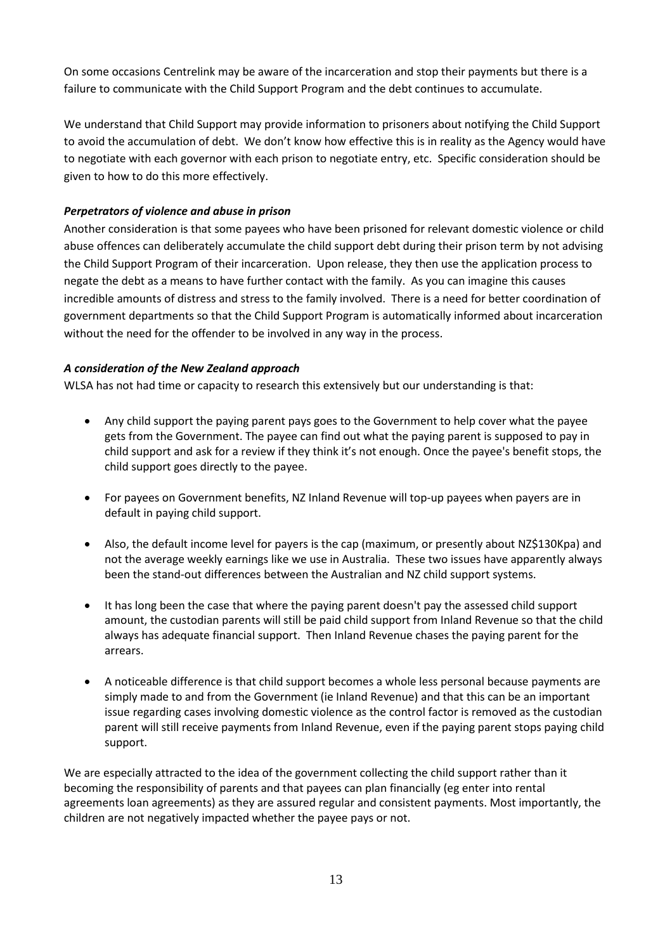On some occasions Centrelink may be aware of the incarceration and stop their payments but there is a failure to communicate with the Child Support Program and the debt continues to accumulate.

We understand that Child Support may provide information to prisoners about notifying the Child Support to avoid the accumulation of debt. We don't know how effective this is in reality as the Agency would have to negotiate with each governor with each prison to negotiate entry, etc. Specific consideration should be given to how to do this more effectively.

## *Perpetrators of violence and abuse in prison*

Another consideration is that some payees who have been prisoned for relevant domestic violence or child abuse offences can deliberately accumulate the child support debt during their prison term by not advising the Child Support Program of their incarceration. Upon release, they then use the application process to negate the debt as a means to have further contact with the family. As you can imagine this causes incredible amounts of distress and stress to the family involved. There is a need for better coordination of government departments so that the Child Support Program is automatically informed about incarceration without the need for the offender to be involved in any way in the process.

## *A consideration of the New Zealand approach*

WLSA has not had time or capacity to research this extensively but our understanding is that:

- Any child support the paying parent pays goes to the Government to help cover what the payee gets from the Government. The payee can find out what the paying parent is supposed to pay in child support and ask for a review if they think it's not enough. Once the payee's benefit stops, the child support goes directly to the payee.
- For payees on Government benefits, NZ Inland Revenue will top-up payees when payers are in default in paying child support.
- Also, the default income level for payers is the cap (maximum, or presently about NZ\$130Kpa) and not the average weekly earnings like we use in Australia. These two issues have apparently always been the stand-out differences between the Australian and NZ child support systems.
- It has long been the case that where the paying parent doesn't pay the assessed child support amount, the custodian parents will still be paid child support from Inland Revenue so that the child always has adequate financial support. Then Inland Revenue chases the paying parent for the arrears.
- A noticeable difference is that child support becomes a whole less personal because payments are simply made to and from the Government (ie Inland Revenue) and that this can be an important issue regarding cases involving domestic violence as the control factor is removed as the custodian parent will still receive payments from Inland Revenue, even if the paying parent stops paying child support.

We are especially attracted to the idea of the government collecting the child support rather than it becoming the responsibility of parents and that payees can plan financially (eg enter into rental agreements loan agreements) as they are assured regular and consistent payments. Most importantly, the children are not negatively impacted whether the payee pays or not.